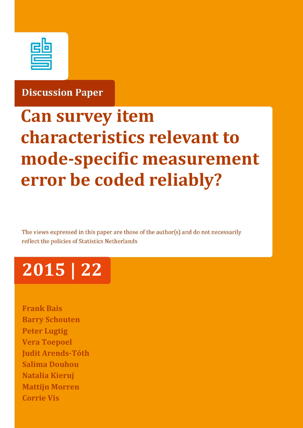

# **Discussion Paper**

# **Can survey item characteristics relevant to mode-specific measurement error be coded reliably?**

The views expressed in this paper are those of the author(s) and do not necessarily reflect the policies of Statistics Netherlands

# **2015 | 22**

**Frank Bais Barry Schouten Peter Lugtig Vera Toepoel Judit Arends-Tóth Salima Douhou Natalia Kieruj Mattijn Morren Corrie Vis**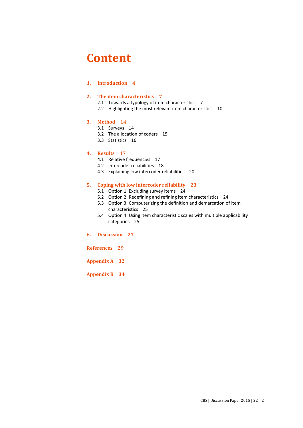# **Content**

### **1. Introduction 4**

#### **2. The item characteristics 7**

- 2.1 Towards a typology of item characteristics 7
- 2.2 Highlighting the most relevant item characteristics 10

#### **3. Method 14**

- 3.1 Surveys 14
- 3.2 The allocation of coders 15
- 3.3 Statistics 16

### **4. Results 17**

- 4.1 Relative frequencies 17
- 4.2 Intercoder reliabilities 18
- 4.3 Explaining low intercoder reliabilities 20

#### **5. Coping with low intercoder reliability 23**

- 5.1 Option 1: Excluding survey items 24
- 5.2 Option 2: Redefining and refining item characteristics 24
- 5.3 Option 3: Computerizing the definition and demarcation of item characteristics 25
- 5.4 Option 4: Using item characteristic scales with multiple applicability categories 25
- **6. Discussion 27**
- **References 29**
- **Appendix A 32**
- **Appendix B 34**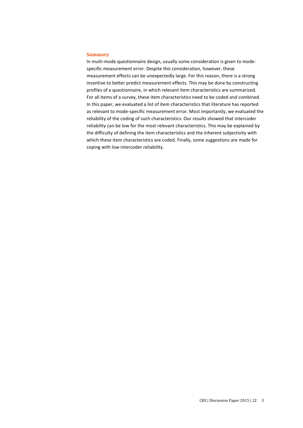#### **Summary**

In multi-mode questionnaire design, usually some consideration is given to modespecific measurement error. Despite this consideration, however, these measurement effects can be unexpectedly large. For this reason, there is a strong incentive to better predict measurement effects. This may be done by constructing profiles of a questionnaire, in which relevant item characteristics are summarized. For all items of a survey, these item characteristics need to be coded and combined. In this paper, we evaluated a list of item characteristics that literature has reported as relevant to mode-specific measurement error. Most importantly, we evaluated the reliability of the coding of such characteristics. Our results showed that intercoder reliability can be low for the most relevant characteristics. This may be explained by the difficulty of defining the item characteristics and the inherent subjectivity with which these item characteristics are coded. Finally, some suggestions are made for coping with low intercoder reliability.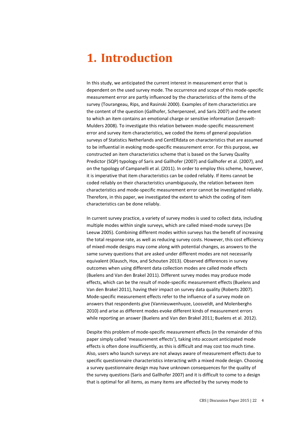# **1. Introduction**

In this study, we anticipated the current interest in measurement error that is dependent on the used survey mode. The occurrence and scope of this mode-specific measurement error are partly influenced by the characteristics of the items of the survey (Tourangeau, Rips, and Rasinski 2000). Examples of item characteristics are the content of the question (Gallhofer, Scherpenzeel, and Saris 2007) and the extent to which an item contains an emotional charge or sensitive information (Lensvelt-Mulders 2008). To investigate this relation between mode-specific measurement error and survey item characteristics, we coded the items of general population surveys of Statistics Netherlands and CentERdata on characteristics that are assumed to be influential in evoking mode-specific measurement error. For this purpose, we constructed an item characteristics scheme that is based on the Survey Quality Predictor (SQP) typology of Saris and Gallhofer (2007) and Gallhofer et al. (2007), and on the typology of Campanelli et al. (2011). In order to employ this scheme, however, it is imperative that item characteristics can be coded reliably. If items cannot be coded reliably on their characteristics unambiguously, the relation between item characteristics and mode-specific measurement error cannot be investigated reliably. Therefore, in this paper, we investigated the extent to which the coding of item characteristics can be done reliably.

In current survey practice, a variety of survey modes is used to collect data, including multiple modes within single surveys, which are called mixed-mode surveys (De Leeuw 2005). Combining different modes within surveys has the benefit of increasing the total response rate, as well as reducing survey costs. However, this cost efficiency of mixed-mode designs may come along with potential changes, as answers to the same survey questions that are asked under different modes are not necessarily equivalent (Klausch, Hox, and Schouten 2013). Observed differences in survey outcomes when using different data collection modes are called mode effects (Buelens and Van den Brakel 2011). Different survey modes may produce mode effects, which can be the result of mode-specific measurement effects (Buelens and Van den Brakel 2011), having their impact on survey data quality (Roberts 2007). Mode-specific measurement effects refer to the influence of a survey mode on answers that respondents give (Vannieuwenhuyze, Loosveldt, and Molenberghs 2010) and arise as different modes evoke different kinds of measurement errors while reporting an answer (Buelens and Van den Brakel 2011; Buelens et al. 2012).

Despite this problem of mode-specific measurement effects (in the remainder of this paper simply called 'measurement effects'), taking into account anticipated mode effects is often done insufficiently, as this is difficult and may cost too much time. Also, users who launch surveys are not always aware of measurement effects due to specific questionnaire characteristics interacting with a mixed mode design. Choosing a survey questionnaire design may have unknown consequences for the quality of the survey questions (Saris and Gallhofer 2007) and it is difficult to come to a design that is optimal for all items, as many items are affected by the survey mode to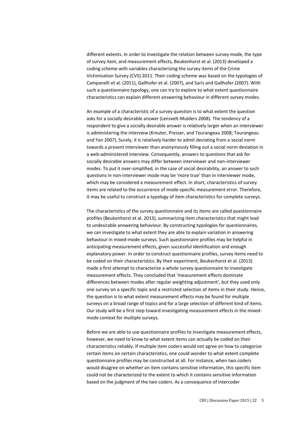different extents. In order to investigate the relation between survey mode, the type of survey item, and measurement effects, Beukenhorst et al. (2013) developed a coding scheme with variables characterizing the survey items of the Crime Victimisation Survey (CVS) 2011. Their coding scheme was based on the typologies of Campanelli et al. (2011), Gallhofer et al. (2007), and Saris and Gallhofer (2007). With such a questionnaire typology, one can try to explore to what extent questionnaire characteristics can explain different answering behaviour in different survey modes.

An example of a characteristic of a survey question is to what extent the question asks for a socially desirable answer (Lensvelt-Mulders 2008). The tendency of a respondent to give a socially desirable answer is relatively larger when an interviewer is administering the interview (Kreuter, Presser, and Tourangeau 2008; Tourangeau and Yan 2007). Surely, it is relatively harder to admit deviating from a social norm towards a present interviewer than anonymously filling out a social norm deviation in a web-administered interview. Consequently, answers to questions that ask for socially desirable answers may differ between interviewer and non-interviewer modes. To put it over-simplified, in the case of social desirability, an answer to such questions in non-interviewer mode may be 'more true' than in interviewer mode, which may be considered a measurement effect. In short, characteristics of survey items are related to the occurrence of mode-specific measurement error. Therefore, it may be useful to construct a typology of item characteristics for complete surveys.

The characteristics of the survey questionnaire and its items are called questionnaire profiles (Beukenhorst et al. 2013), summarizing item characteristics that might lead to undesirable answering behaviour. By constructing typologies for questionnaires, we can investigate to what extent they are able to explain variation in answering behaviour in mixed-mode surveys. Such questionnaire profiles may be helpful in anticipating measurement effects, given successful identification and enough explanatory power. In order to construct questionnaire profiles, survey items need to be coded on their characteristics. By their experiment, Beukenhorst et al. (2013) made a first attempt to characterize a whole survey questionnaire to investigate measurement effects. They concluded that 'measurement effects dominate differences between modes after regular weighting adjustment', but they used only one survey on a specific topic and a restricted selection of items in their study. Hence, the question is to what extent measurement effects may be found for multiple surveys on a broad range of topics and for a large selection of different kind of items. Our study will be a first step toward investigating measurement effects in the mixedmode context for multiple surveys.

Before we are able to use questionnaire profiles to investigate measurement effects, however, we need to know to what extent items can actually be coded on their characteristics reliably. If multiple item coders would not agree on how to categorize certain items on certain characteristics, one could wonder to what extent complete questionnaire profiles may be constructed at all. For instance, when two coders would disagree on whether an item contains sensitive information, this specific item could not be characterized to the extent to which it contains sensitive information based on the judgment of the two coders. As a consequence of intercoder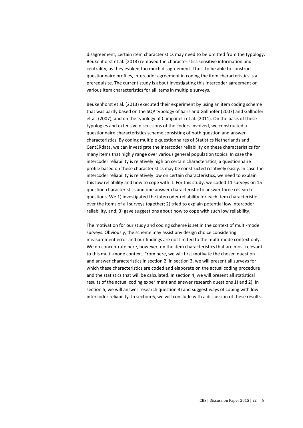disagreement, certain item characteristics may need to be omitted from the typology. Beukenhorst et al. (2013) removed the characteristics sensitive information and centrality, as they evoked too much disagreement. Thus, to be able to construct questionnaire profiles, intercoder agreement in coding the item characteristics is a prerequisite. The current study is about investigating this intercoder agreement on various item characteristics for all items in multiple surveys.

Beukenhorst et al. (2013) executed their experiment by using an item coding scheme that was partly based on the SQP typology of Saris and Gallhofer (2007) and Gallhofer et al. (2007), and on the typology of Campanelli et al. (2011). On the basis of these typologies and extensive discussions of the coders involved, we constructed a questionnaire characteristics scheme consisting of both question and answer characteristics. By coding multiple questionnaires of Statistics Netherlands and CentERdata, we can investigate the intercoder reliability on these characteristics for many items that highly range over various general population topics. In case the intercoder reliability is relatively high on certain characteristics, a questionnaire profile based on these characteristics may be constructed relatively easily. In case the intercoder reliability is relatively low on certain characteristics, we need to explain this low reliability and how to cope with it. For this study, we coded 11 surveys on 15 question characteristics and one answer characteristic to answer three research questions. We 1) investigated the intercoder reliability for each item characteristic over the items of all surveys together; 2) tried to explain potential low intercoder reliability, and; 3) gave suggestions about how to cope with such low reliability.

The motivation for our study and coding scheme is set in the context of multi-mode surveys. Obviously, the scheme may assist any design choice considering measurement error and our findings are not limited to the multi-mode context only. We do concentrate here, however, on the item characteristics that are most relevant to this multi-mode context. From here, we will first motivate the chosen question and answer characteristics in section 2. In section 3, we will present all surveys for which these characteristics are coded and elaborate on the actual coding procedure and the statistics that will be calculated. In section 4, we will present all statistical results of the actual coding experiment and answer research questions 1) and 2). In section 5, we will answer research question 3) and suggest ways of coping with low intercoder reliability. In section 6, we will conclude with a discussion of these results.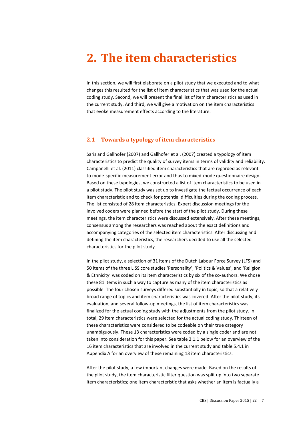# **2. The item characteristics**

In this section, we will first elaborate on a pilot study that we executed and to what changes this resulted for the list of item characteristics that was used for the actual coding study. Second, we will present the final list of item characteristics as used in the current study. And third, we will give a motivation on the item characteristics that evoke measurement effects according to the literature.

#### **2.1 Towards a typology of item characteristics**

Saris and Gallhofer (2007) and Gallhofer et al. (2007) created a typology of item characteristics to predict the quality of survey items in terms of validity and reliability. Campanelli et al. (2011) classified item characteristics that are regarded as relevant to mode-specific measurement error and thus to mixed-mode questionnaire design. Based on these typologies, we constructed a list of item characteristics to be used in a pilot study. The pilot study was set up to investigate the factual occurrence of each item characteristic and to check for potential difficulties during the coding process. The list consisted of 28 item characteristics. Expert discussion meetings for the involved coders were planned before the start of the pilot study. During these meetings, the item characteristics were discussed extensively. After these meetings, consensus among the researchers was reached about the exact definitions and accompanying categories of the selected item characteristics. After discussing and defining the item characteristics, the researchers decided to use all the selected characteristics for the pilot study.

In the pilot study, a selection of 31 items of the Dutch Labour Force Survey (LFS) and 50 items of the three LISS core studies 'Personality', 'Politics & Values', and 'Religion & Ethnicity' was coded on its item characteristics by six of the co-authors. We chose these 81 items in such a way to capture as many of the item characteristics as possible. The four chosen surveys differed substantially in topic, so that a relatively broad range of topics and item characteristics was covered. After the pilot study, its evaluation, and several follow-up meetings, the list of item characteristics was finalized for the actual coding study with the adjustments from the pilot study. In total, 29 item characteristics were selected for the actual coding study. Thirteen of these characteristics were considered to be codeable on their true category unambiguously. These 13 characteristics were coded by a single coder and are not taken into consideration for this paper. See table 2.1.1 below for an overview of the 16 item characteristics that are involved in the current study and table 5.4.1 in Appendix A for an overview of these remaining 13 item characteristics.

After the pilot study, a few important changes were made. Based on the results of the pilot study, the item characteristic filter question was split up into two separate item characteristics; one item characteristic that asks whether an item is factually a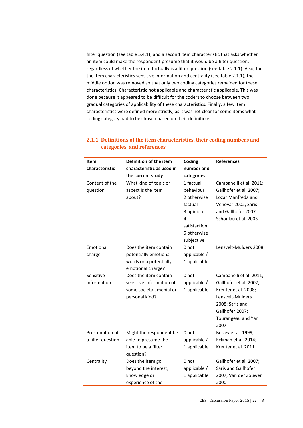filter question (see table 5.4.1); and a second item characteristic that asks whether an item could make the respondent presume that it would be a filter question, regardless of whether the item factually is a filter question (see table 2.1.1). Also, for the item characteristics sensitive information and centrality (see table 2.1.1), the middle option was removed so that only two coding categories remained for these characteristics: Characteristic not applicable and characteristic applicable. This was done because it appeared to be difficult for the coders to choose between two gradual categories of applicability of these characteristics. Finally, a few item characteristics were defined more strictly, as it was not clear for some items what coding category had to be chosen based on their definitions.

| Item              | Definition of the item                         | Coding                   | <b>References</b>       |
|-------------------|------------------------------------------------|--------------------------|-------------------------|
| characteristic    | characteristic as used in<br>the current study | number and<br>categories |                         |
| Content of the    | What kind of topic or                          | 1 factual                | Campanelli et al. 2011; |
| question          | aspect is the item                             | behaviour                | Gallhofer et al. 2007;  |
|                   | about?                                         | 2 otherwise              | Lozar Manfreda and      |
|                   |                                                | factual                  | Vehovar 2002; Saris     |
|                   |                                                | 3 opinion                | and Gallhofer 2007;     |
|                   |                                                | 4                        | Schonlau et al. 2003    |
|                   |                                                | satisfaction             |                         |
|                   |                                                | 5 otherwise              |                         |
|                   |                                                | subjective               |                         |
| Emotional         | Does the item contain                          | 0 not                    | Lensvelt-Mulders 2008   |
| charge            | potentially emotional                          | applicable /             |                         |
|                   | words or a potentially<br>emotional charge?    | 1 applicable             |                         |
| Sensitive         | Does the item contain                          | 0 not                    | Campanelli et al. 2011; |
| information       | sensitive information of                       | applicable /             | Gallhofer et al. 2007;  |
|                   | some societal, menial or                       | 1 applicable             | Kreuter et al. 2008;    |
|                   | personal kind?                                 |                          | Lensvelt-Mulders        |
|                   |                                                |                          | 2008; Saris and         |
|                   |                                                |                          | Gallhofer 2007;         |
|                   |                                                |                          | Tourangeau and Yan      |
|                   |                                                |                          | 2007                    |
| Presumption of    | Might the respondent be                        | 0 not                    | Bosley et al. 1999;     |
| a filter question | able to presume the                            | applicable /             | Eckman et al. 2014;     |
|                   | item to be a filter                            | 1 applicable             | Kreuter et al. 2011     |
|                   | question?                                      |                          |                         |
| Centrality        | Does the item go                               | 0 not                    | Gallhofer et al. 2007;  |
|                   | beyond the interest,                           | applicable /             | Saris and Gallhofer     |
|                   | knowledge or                                   | 1 applicable             | 2007; Van der Zouwen    |
|                   | experience of the                              |                          | 2000                    |

# **2.1.1 Definitions of the item characteristics, their coding numbers and categories, and references**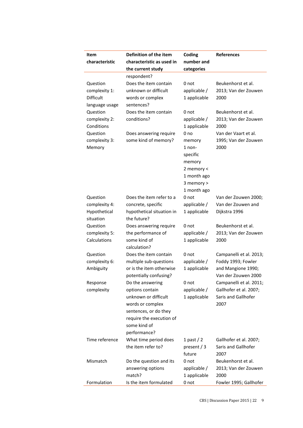| Item             | Definition of the item    | Coding       | <b>References</b>       |
|------------------|---------------------------|--------------|-------------------------|
| characteristic   | characteristic as used in | number and   |                         |
|                  | the current study         | categories   |                         |
|                  | respondent?               |              |                         |
| Question         | Does the item contain     | 0 not        | Beukenhorst et al.      |
| complexity 1:    | unknown or difficult      | applicable / | 2013; Van der Zouwen    |
| <b>Difficult</b> | words or complex          | 1 applicable | 2000                    |
| language usage   | sentences?                |              |                         |
| Question         | Does the item contain     | 0 not        | Beukenhorst et al.      |
| complexity 2:    | conditions?               | applicable / | 2013; Van der Zouwen    |
| Conditions       |                           | 1 applicable | 2000                    |
| Question         | Does answering require    | 0 no         | Van der Vaart et al.    |
| complexity 3:    | some kind of memory?      | memory       | 1995; Van der Zouwen    |
| Memory           |                           | $1$ non-     | 2000                    |
|                  |                           | specific     |                         |
|                  |                           | memory       |                         |
|                  |                           | 2 memory <   |                         |
|                  |                           | 1 month ago  |                         |
|                  |                           | 3 memory >   |                         |
|                  |                           | 1 month ago  |                         |
| Question         | Does the item refer to a  | 0 not        | Van der Zouwen 2000;    |
| complexity 4:    | concrete, specific        | applicable / | Van der Zouwen and      |
| Hypothetical     | hypothetical situation in | 1 applicable | Dijkstra 1996           |
| situation        | the future?               |              |                         |
| Question         | Does answering require    | 0 not        | Beukenhorst et al.      |
| complexity 5:    | the performance of        | applicable / | 2013; Van der Zouwen    |
| Calculations     | some kind of              | 1 applicable | 2000                    |
|                  | calculation?              |              |                         |
| Question         | Does the item contain     | 0 not        | Campanelli et al. 2013; |
| complexity 6:    | multiple sub-questions    | applicable / | Foddy 1993; Fowler      |
| Ambiguity        | or is the item otherwise  | 1 applicable | and Mangione 1990;      |
|                  | potentially confusing?    |              | Van der Zouwen 2000     |
| Response         | Do the answering          | 0 not        | Campanelli et al. 2011; |
| complexity       | options contain           | applicable / | Gallhofer et al. 2007;  |
|                  | unknown or difficult      | 1 applicable | Saris and Gallhofer     |
|                  | words or complex          |              | 2007                    |
|                  | sentences, or do they     |              |                         |
|                  | require the execution of  |              |                         |
|                  | some kind of              |              |                         |
|                  | performance?              |              |                         |
| Time reference   | What time period does     | 1 past $/2$  | Gallhofer et al. 2007;  |
|                  | the item refer to?        | present $/3$ | Saris and Gallhofer     |
|                  |                           | future       | 2007                    |
| Mismatch         | Do the question and its   | 0 not        | Beukenhorst et al.      |
|                  | answering options         | applicable / | 2013; Van der Zouwen    |
|                  | match?                    | 1 applicable | 2000                    |
| Formulation      | Is the item formulated    | 0 not        | Fowler 1995; Gallhofer  |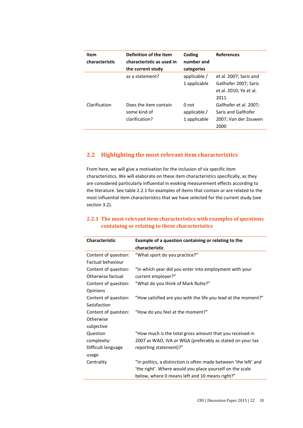| <b>Item</b><br>characteristic | Definition of the item<br>characteristic as used in<br>the current study | Coding<br>number and<br>categories    | <b>References</b>                                                                 |
|-------------------------------|--------------------------------------------------------------------------|---------------------------------------|-----------------------------------------------------------------------------------|
|                               | as a statement?                                                          | applicable /<br>1 applicable          | et al. 2007; Saris and<br>Gallhofer 2007; Saris<br>et al. 2010; Ye et al.<br>2011 |
| Clarification                 | Does the item contain<br>some kind of<br>clarification?                  | 0 not<br>applicable /<br>1 applicable | Gallhofer et al. 2007;<br>Saris and Gallhofer<br>2007; Van der Zouwen<br>2000     |

# **2.2 Highlighting the most relevant item characteristics**

From here, we will give a motivation for the inclusion of six specific item characteristics. We will elaborate on these item characteristics specifically, as they are considered particularly influential in evoking measurement effects according to the literature. See table 2.2.1 for examples of items that contain or are related to the most influential item characteristics that we have selected for the current study (see section 3.2).

# **2.2.1 The most relevant item characteristics with examples of questions containing or relating to these characteristics**

| <b>Characteristic</b>    | Example of a question containing or relating to the              |  |  |
|--------------------------|------------------------------------------------------------------|--|--|
|                          | characteristic                                                   |  |  |
| Content of question:     | "What sport do you practice?"                                    |  |  |
| <b>Factual behaviour</b> |                                                                  |  |  |
| Content of question:     | "In which year did you enter into employment with your           |  |  |
| Otherwise factual        | current employer?"                                               |  |  |
| Content of question:     | "What do you think of Mark Rutte?"                               |  |  |
| Opinions                 |                                                                  |  |  |
| Content of question:     | "How satisfied are you with the life you lead at the moment?"    |  |  |
| Satisfaction             |                                                                  |  |  |
| Content of question:     | "How do you feel at the moment?"                                 |  |  |
| Otherwise                |                                                                  |  |  |
| subjective               |                                                                  |  |  |
| Question                 | "How much is the total gross amount that you received in         |  |  |
| complexity:              | 2007 as WAO, IVA or WGA (preferably as stated on your tax        |  |  |
| Difficult language       | reporting statement)?"                                           |  |  |
| usage                    |                                                                  |  |  |
| Centrality               | "In politics, a distinction is often made between 'the left' and |  |  |
|                          | 'the right'. Where would you place yourself on the scale         |  |  |
|                          | below, where 0 means left and 10 means right?"                   |  |  |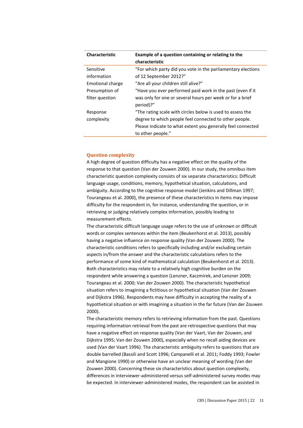| <b>Characteristic</b>   | Example of a question containing or relating to the<br>characteristic  |
|-------------------------|------------------------------------------------------------------------|
| Sensitive               | "For which party did you vote in the parliamentary elections           |
| information             | of 12 September 2012?"                                                 |
| <b>Emotional charge</b> | "Are all your children still alive?"                                   |
| Presumption of          | "Have you ever performed paid work in the past (even if it             |
| filter question         | was only for one or several hours per week or for a brief<br>period)?" |
| Response                | "The rating scale with circles below is used to assess the             |
| complexity              | degree to which people feel connected to other people.                 |
|                         | Please indicate to what extent you generally feel connected            |
|                         | to other people."                                                      |

#### **Question complexity**

A high degree of question difficulty has a negative effect on the quality of the response to that question (Van der Zouwen 2000). In our study, the omnibus item characteristic question complexity consists of six separate characteristics: Difficult language usage, conditions, memory, hypothetical situation, calculations, and ambiguity. According to the cognitive response model (Jenkins and Dillman 1997; Tourangeau et al. 2000), the presence of these characteristics in items may impose difficulty for the respondent in, for instance, understanding the question, or in retrieving or judging relatively complex information, possibly leading to measurement effects.

The characteristic difficult language usage refers to the use of unknown or difficult words or complex sentences within the item (Beukenhorst et al. 2013), possibly having a negative influence on response quality (Van der Zouwen 2000). The characteristic conditions refers to specifically including and/or excluding certain aspects in/from the answer and the characteristic calculations refers to the performance of some kind of mathematical calculation (Beukenhorst et al. 2013). Both characteristics may relate to a relatively high cognitive burden on the respondent while answering a question (Lenzner, Kaczmirek, and Lenzner 2009; Tourangeau et al. 2000; Van der Zouwen 2000). The characteristic hypothetical situation refers to imagining a fictitious or hypothetical situation (Van der Zouwen and Dijkstra 1996). Respondents may have difficulty in accepting the reality of a hypothetical situation or with imagining a situation in the far future (Van der Zouwen 2000).

The characteristic memory refers to retrieving information from the past. Questions requiring information retrieval from the past are retrospective questions that may have a negative effect on response quality (Van der Vaart, Van der Zouwen, and Dijkstra 1995; Van der Zouwen 2000), especially when no recall aiding devices are used (Van der Vaart 1996). The characteristic ambiguity refers to questions that are double barrelled (Bassili and Scott 1996; Campanelli et al. 2011; Foddy 1993; Fowler and Mangione 1990) or otherwise have an unclear meaning of wording (Van der Zouwen 2000). Concerning these six characteristics about question complexity, differences in interviewer-administered versus self-administered survey modes may be expected. In interviewer-administered modes, the respondent can be assisted in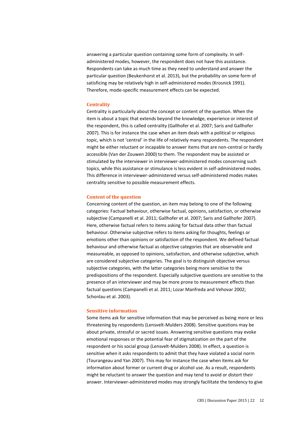answering a particular question containing some form of complexity. In selfadministered modes, however, the respondent does not have this assistance. Respondents can take as much time as they need to understand and answer the particular question (Beukenhorst et al. 2013), but the probability on some form of satisficing may be relatively high in self-administered modes (Krosnick 1991). Therefore, mode-specific measurement effects can be expected.

#### **Centrality**

Centrality is particularly about the concept or content of the question. When the item is about a topic that extends beyond the knowledge, experience or interest of the respondent, this is called centrality (Gallhofer et al. 2007; Saris and Gallhofer 2007). This is for instance the case when an item deals with a political or religious topic, which is not 'central' in the life of relatively many respondents. The respondent might be either reluctant or incapable to answer items that are non-central or hardly accessible (Van der Zouwen 2000) to them. The respondent may be assisted or stimulated by the interviewer in interviewer-administered modes concerning such topics, while this assistance or stimulance is less evident in self-administered modes. This difference in interviewer-administered versus self-administered modes makes centrality sensitive to possible measurement effects.

#### **Content of the question**

Concerning content of the question, an item may belong to one of the following categories: Factual behaviour, otherwise factual, opinions, satisfaction, or otherwise subjective (Campanelli et al. 2011; Gallhofer et al. 2007; Saris and Gallhofer 2007). Here, otherwise factual refers to items asking for factual data other than factual behaviour. Otherwise subjective refers to items asking for thoughts, feelings or emotions other than opinions or satisfaction of the respondent. We defined factual behaviour and otherwise factual as objective categories that are observable and measureable, as opposed to opinions, satisfaction, and otherwise subjective, which are considered subjective categories. The goal is to distinguish objective versus subjective categories, with the latter categories being more sensitive to the predispositions of the respondent. Especially subjective questions are sensitive to the presence of an interviewer and may be more prone to measurement effects than factual questions (Campanelli et al. 2011; Lozar Manfreda and Vehovar 2002; Schonlau et al. 2003).

#### **Sensitive information**

Some items ask for sensitive information that may be perceived as being more or less threatening by respondents (Lensvelt-Mulders 2008). Sensitive questions may be about private, stressful or sacred issues. Answering sensitive questions may evoke emotional responses or the potential fear of stigmatization on the part of the respondent or his social group (Lensvelt-Mulders 2008). In effect, a question is sensitive when it asks respondents to admit that they have violated a social norm (Tourangeau and Yan 2007). This may for instance the case when items ask for information about former or current drug or alcohol use. As a result, respondents might be reluctant to answer the question and may tend to avoid or distort their answer. Interviewer-administered modes may strongly facilitate the tendency to give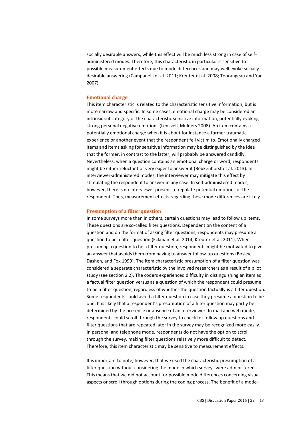socially desirable answers, while this effect will be much less strong in case of selfadministered modes. Therefore, this characteristic in particular is sensitive to possible measurement effects due to mode differences and may well evoke socially desirable answering (Campanelli et al. 2011; Kreuter et al. 2008; Tourangeau and Yan 2007).

#### **Emotional charge**

This item characteristic is related to the characteristic sensitive information, but is more narrow and specific. In some cases, emotional charge may be considered an intrinsic subcategory of the characteristic sensitive information, potentially evoking strong personal negative emotions (Lensvelt-Mulders 2008). An item contains a potentially emotional charge when it is about for instance a former traumatic experience or another event that the respondent fell victim to. Emotionally charged items and items asking for sensitive information may be distinguished by the idea that the former, in contrast to the latter, will probably be answered candidly. Nevertheless, when a question contains an emotional charge or word, respondents might be either reluctant or very eager to answer it (Beukenhorst et al. 2013). In interviewer-administered modes, the interviewer may mitigate this effect by stimulating the respondent to answer in any case. In self-administered modes, however, there is no interviewer present to regulate potential emotions of the respondent. Thus, measurement effects regarding these mode differences are likely.

#### **Presumption of a filter question**

In some surveys more than in others, certain questions may lead to follow up items. These questions are so-called filter questions. Dependent on the content of a question and on the format of asking filter questions, respondents may presume a question to be a filter question (Eckman et al. 2014; Kreuter et al. 2011). When presuming a question to be a filter question, respondents might be motivated to give an answer that avoids them from having to answer follow-up questions (Bosley, Dashen, and Fox 1999). The item characteristic presumption of a filter question was considered a separate characteristic by the involved researchers as a result of a pilot study (see section 2.2). The coders experienced difficulty in distinguishing an item as a factual filter question versus as a question of which the respondent could presume to be a filter question, regardless of whether the question factually is a filter question. Some respondents could avoid a filter question in case they presume a question to be one. It is likely that a respondent's presumption of a filter question may partly be determined by the presence or absence of an interviewer. In mail and web mode, respondents could scroll through the survey to check for follow up questions and filter questions that are repeated later in the survey may be recognized more easily. In personal and telephone mode, respondents do not have the option to scroll through the survey, making filter questions relatively more difficult to detect. Therefore, this item characteristic may be sensitive to measurement effects.

It is important to note, however, that we used the characteristic presumption of a filter question without considering the mode in which surveys were administered. This means that we did not account for possible mode differences concerning visual aspects or scroll through options during the coding process. The benefit of a mode-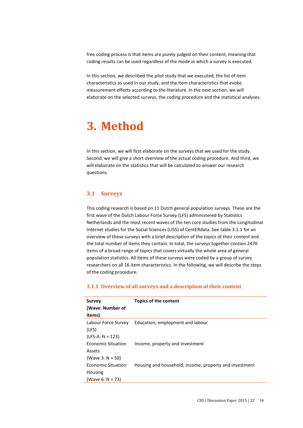free coding process is that items are purely judged on their content, meaning that coding results can be used regardless of the mode in which a survey is executed.

In this section, we described the pilot study that we executed, the list of item characteristics as used in our study, and the item characteristics that evoke measurement effects according to the literature. In the next section, we will elaborate on the selected surveys, the coding procedure and the statistical analyses.

# **3. Method**

In this section, we will first elaborate on the surveys that we used for the study. Second, we will give a short overview of the actual coding procedure. And third, we will elaborate on the statistics that will be calculated to answer our research questions.

### **3.1 Surveys**

This coding research is based on 11 Dutch general population surveys. These are the first wave of the Dutch Labour Force Survey (LFS) administered by Statistics Netherlands and the most recent waves of the ten core studies from the Longitudinal Internet studies for the Social Sciences (LISS) of CentERdata. See table 3.1.1 for an overview of these surveys with a brief description of the topics of their content and the total number of items they contain. In total, the surveys together contain 2470 items of a broad range of topics that covers virtually the whole area of general population statistics. All items of these surveys were coded by a group of survey researchers on all 16 item characteristics. In the following, we will describe the steps of the coding procedure.

| <b>Survey</b>                | <b>Topics of the content</b>                           |
|------------------------------|--------------------------------------------------------|
| (Wave: Number of             |                                                        |
| items)                       |                                                        |
| Labour Force Survey<br>(LFS) | Education; employment and labour                       |
| $(LFS-A: N = 123)$           |                                                        |
| Economic Situation           | Income, property and investment                        |
| Assets                       |                                                        |
| (Wave $3: N = 50$ )          |                                                        |
| Economic Situation           | Housing and household; income, property and investment |
| Housing                      |                                                        |
| (Wave 6: N = 73)             |                                                        |

#### **3.1.1 Overview of all surveys and a description of their content**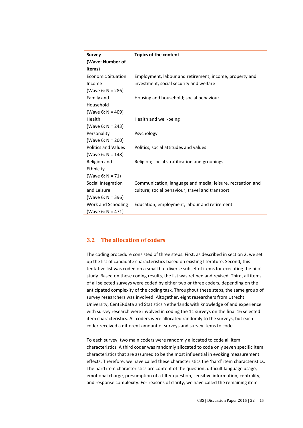| <b>Survey</b>              | <b>Topics of the content</b>                               |
|----------------------------|------------------------------------------------------------|
| (Wave: Number of           |                                                            |
| items)                     |                                                            |
| <b>Economic Situation</b>  | Employment, labour and retirement; income, property and    |
| Income                     | investment; social security and welfare                    |
| (Wave 6: $N = 286$ )       |                                                            |
| Family and                 | Housing and household; social behaviour                    |
| Household                  |                                                            |
| (Wave 6: $N = 409$ )       |                                                            |
| Health                     | Health and well-being                                      |
| (Wave 6: $N = 243$ )       |                                                            |
| Personality                | Psychology                                                 |
| (Wave 6: $N = 200$ )       |                                                            |
| <b>Politics and Values</b> | Politics; social attitudes and values                      |
| (Wave 6: $N = 148$ )       |                                                            |
| Religion and               | Religion; social stratification and groupings              |
| Ethnicity                  |                                                            |
| (Wave 6: $N = 71$ )        |                                                            |
| Social Integration         | Communication, language and media; leisure, recreation and |
| and Leisure                | culture; social behaviour; travel and transport            |
| (Wave 6: $N = 396$ )       |                                                            |
| Work and Schooling         | Education; employment, labour and retirement               |
| (Wave 6: $N = 471$ )       |                                                            |

# **3.2 The allocation of coders**

The coding procedure consisted of three steps. First, as described in section 2, we set up the list of candidate characteristics based on existing literature. Second, this tentative list was coded on a small but diverse subset of items for executing the pilot study. Based on these coding results, the list was refined and revised. Third, all items of all selected surveys were coded by either two or three coders, depending on the anticipated complexity of the coding task. Throughout these steps, the same group of survey researchers was involved. Altogether, eight researchers from Utrecht University, CentERdata and Statistics Netherlands with knowledge of and experience with survey research were involved in coding the 11 surveys on the final 16 selected item characteristics. All coders were allocated randomly to the surveys, but each coder received a different amount of surveys and survey items to code.

To each survey, two main coders were randomly allocated to code all item characteristics. A third coder was randomly allocated to code only seven specific item characteristics that are assumed to be the most influential in evoking measurement effects. Therefore, we have called these characteristics the 'hard' item characteristics. The hard item characteristics are content of the question, difficult language usage, emotional charge, presumption of a filter question, sensitive information, centrality, and response complexity. For reasons of clarity, we have called the remaining item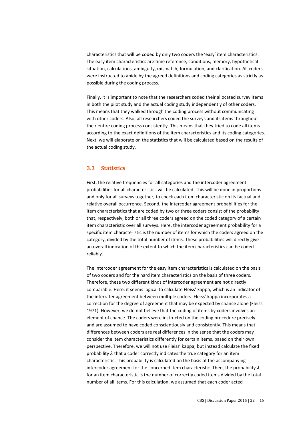characteristics that will be coded by only two coders the 'easy' item characteristics. The easy item characteristics are time reference, conditions, memory, hypothetical situation, calculations, ambiguity, mismatch, formulation, and clarification. All coders were instructed to abide by the agreed definitions and coding categories as strictly as possible during the coding process.

Finally, it is important to note that the researchers coded their allocated survey items in both the pilot study and the actual coding study independently of other coders. This means that they walked through the coding process without communicating with other coders. Also, all researchers coded the surveys and its items throughout their entire coding process consistently. This means that they tried to code all items according to the exact definitions of the item characteristics and its coding categories. Next, we will elaborate on the statistics that will be calculated based on the results of the actual coding study.

### **3.3 Statistics**

First, the relative frequencies for all categories and the intercoder agreement probabilities for all characteristics will be calculated. This will be done in proportions and only for all surveys together, to check each item characteristic on its factual and relative overall occurrence. Second, the intercoder agreement probabilities for the item characteristics that are coded by two or three coders consist of the probability that, respectively, both or all three coders agreed on the coded category of a certain item characteristic over all surveys. Here, the intercoder agreement probability for a specific item characteristic is the number of items for which the coders agreed on the category, divided by the total number of items. These probabilities will directly give an overall indication of the extent to which the item characteristics can be coded reliably.

The intercoder agreement for the easy item characteristics is calculated on the basis of two coders and for the hard item characteristics on the basis of three coders. Therefore, these two different kinds of intercoder agreement are not directly comparable. Here, it seems logical to calculate Fleiss' kappa, which is an indicator of the interrater agreement between multiple coders. Fleiss' kappa incorporates a correction for the degree of agreement that may be expected by chance alone (Fleiss 1971). However, we do not believe that the coding of items by coders involves an element of chance. The coders were instructed on the coding procedure precisely and are assumed to have coded conscientiously and consistently. This means that differences between coders are real differences in the sense that the coders may consider the item characteristics differently for certain items, based on their own perspective. Therefore, we will not use Fleiss' kappa, but instead calculate the fixed probability  $\lambda$  that a coder correctly indicates the true category for an item characteristic. This probability is calculated on the basis of the accompanying intercoder agreement for the concerned item characteristic. Then, the probability  $\lambda$ for an item characteristic is the number of correctly coded items divided by the total number of all items. For this calculation, we assumed that each coder acted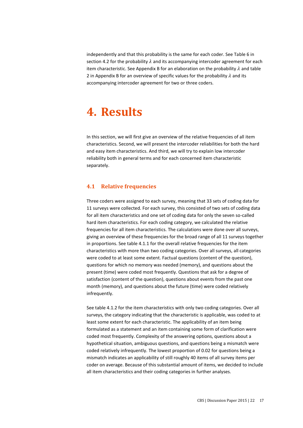independently and that this probability is the same for each coder. See Table 6 in section 4.2 for the probability  $\lambda$  and its accompanying intercoder agreement for each item characteristic. See Appendix B for an elaboration on the probability  $\lambda$  and table 2 in Appendix B for an overview of specific values for the probability  $\lambda$  and its accompanying intercoder agreement for two or three coders.

# **4. Results**

In this section, we will first give an overview of the relative frequencies of all item characteristics. Second, we will present the intercoder reliabilities for both the hard and easy item characteristics. And third, we will try to explain low intercoder reliability both in general terms and for each concerned item characteristic separately.

### **4.1 Relative frequencies**

Three coders were assigned to each survey, meaning that 33 sets of coding data for 11 surveys were collected. For each survey, this consisted of two sets of coding data for all item characteristics and one set of coding data for only the seven so-called hard item characteristics. For each coding category, we calculated the relative frequencies for all item characteristics. The calculations were done over all surveys, giving an overview of these frequencies for the broad range of all 11 surveys together in proportions. See table 4.1.1 for the overall relative frequencies for the item characteristics with more than two coding categories. Over all surveys, all categories were coded to at least some extent. Factual questions (content of the question), questions for which no memory was needed (memory), and questions about the present (time) were coded most frequently. Questions that ask for a degree of satisfaction (content of the question), questions about events from the past one month (memory), and questions about the future (time) were coded relatively infrequently.

See table 4.1.2 for the item characteristics with only two coding categories. Over all surveys, the category indicating that the characteristic is applicable, was coded to at least some extent for each characteristic. The applicability of an item being formulated as a statement and an item containing some form of clarification were coded most frequently. Complexity of the answering options, questions about a hypothetical situation, ambiguous questions, and questions being a mismatch were coded relatively infrequently. The lowest proportion of 0.02 for questions being a mismatch indicates an applicability of still roughly 40 items of all survey items per coder on average. Because of this substantial amount of items, we decided to include all item characteristics and their coding categories in further analyses.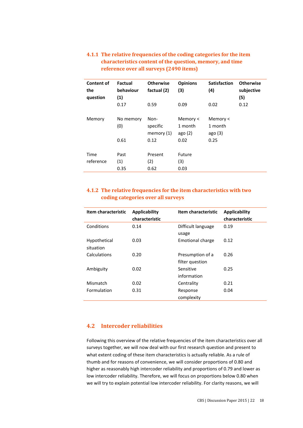| <b>Content of</b><br>the<br>question | Factual<br>behaviour<br>(1) | <b>Otherwise</b><br>factual (2)          | <b>Opinions</b><br>(3)                   | <b>Satisfaction</b><br>(4)               | <b>Otherwise</b><br>subjective<br>(5) |
|--------------------------------------|-----------------------------|------------------------------------------|------------------------------------------|------------------------------------------|---------------------------------------|
|                                      | 0.17                        | 0.59                                     | 0.09                                     | 0.02                                     | 0.12                                  |
| Memory                               | No memory<br>(0)<br>0.61    | Non-<br>specific<br>memory $(1)$<br>0.12 | Memory <<br>1 month<br>ago $(2)$<br>0.02 | Memory <<br>1 month<br>ago $(3)$<br>0.25 |                                       |
| Time<br>reference                    | Past<br>(1)<br>0.35         | Present<br>(2)<br>0.62                   | Future<br>(3)<br>0.03                    |                                          |                                       |

# **4.1.1 The relative frequencies of the coding categories for the item characteristics content of the question, memory, and time reference over all surveys (2490 items)**

### **4.1.2 The relative frequencies for the item characteristics with two coding categories over all surveys**

| Item characteristic       | Applicability<br>characteristic | Item characteristic                 | Applicability<br>characteristic |
|---------------------------|---------------------------------|-------------------------------------|---------------------------------|
| Conditions                | 0.14                            | Difficult language<br>usage         | 0.19                            |
| Hypothetical<br>situation | 0.03                            | Emotional charge                    | 0.12                            |
| Calculations              | 0.20                            | Presumption of a<br>filter question | 0.26                            |
| Ambiguity                 | 0.02                            | Sensitive<br>information            | 0.25                            |
| Mismatch                  | 0.02                            | Centrality                          | 0.21                            |
| Formulation               | 0.31                            | Response<br>complexity              | 0.04                            |

# **4.2 Intercoder reliabilities**

Following this overview of the relative frequencies of the item characteristics over all surveys together, we will now deal with our first research question and present to what extent coding of these item characteristics is actually reliable. As a rule of thumb and for reasons of convenience, we will consider proportions of 0.80 and higher as reasonably high intercoder reliability and proportions of 0.79 and lower as low intercoder reliability. Therefore, we will focus on proportions below 0.80 when we will try to explain potential low intercoder reliability. For clarity reasons, we will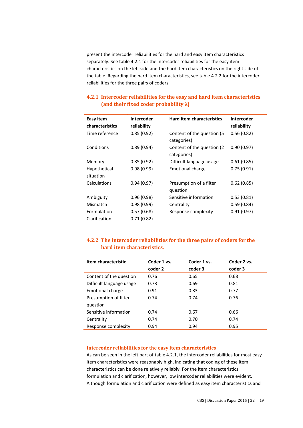present the intercoder reliabilities for the hard and easy item characteristics separately. See table 4.2.1 for the intercoder reliabilities for the easy item characteristics on the left side and the hard item characteristics on the right side of the table. Regarding the hard item characteristics, see table 4.2.2 for the intercoder reliabilities for the three pairs of coders.

| Easy item                 | <b>Intercoder</b> | <b>Hard item characteristics</b>           | <b>Intercoder</b> |
|---------------------------|-------------------|--------------------------------------------|-------------------|
| characteristics           | reliability       |                                            | reliability       |
| Time reference            | 0.85(0.92)        | Content of the question (5)<br>categories) | 0.56(0.82)        |
| Conditions                | 0.89(0.94)        | Content of the question (2)<br>categories) | 0.90(0.97)        |
| Memory                    | 0.85(0.92)        | Difficult language usage                   | 0.61(0.85)        |
| Hypothetical<br>situation | 0.98(0.99)        | Emotional charge                           | 0.75(0.91)        |
| Calculations              | 0.94(0.97)        | Presumption of a filter<br>question        | 0.62(0.85)        |
| Ambiguity                 | 0.96(0.98)        | Sensitive information                      | 0.53(0.81)        |
| Mismatch                  | 0.98(0.99)        | Centrality                                 | 0.59(0.84)        |
| Formulation               | 0.57(0.68)        | Response complexity                        | 0.91(0.97)        |
| Clarification             | 0.71(0.82)        |                                            |                   |

# **4.2.1 Intercoder reliabilities for the easy and hard item characteristics (and their fixed coder probability λ)**

# **4.2.2 The intercoder reliabilities for the three pairs of coders for the hard item characteristics.**

| Item characteristic      | Coder 1 vs. | Coder 1 vs. | Coder 2 vs. |
|--------------------------|-------------|-------------|-------------|
|                          | coder 2     | coder 3     | coder 3     |
| Content of the question  | 0.76        | 0.65        | 0.68        |
| Difficult language usage | 0.73        | 0.69        | 0.81        |
| <b>Emotional charge</b>  | 0.91        | 0.83        | 0.77        |
| Presumption of filter    | 0.74        | 0.74        | 0.76        |
| question                 |             |             |             |
| Sensitive information    | 0.74        | 0.67        | 0.66        |
| Centrality               | 0.74        | 0.70        | 0.74        |
| Response complexity      | 0.94        | 0.94        | 0.95        |

#### **Intercoder reliabilities for the easy item characteristics**

As can be seen in the left part of table 4.2.1, the intercoder reliabilities for most easy item characteristics were reasonably high, indicating that coding of these item characteristics can be done relatively reliably. For the item characteristics formulation and clarification, however, low intercoder reliabilities were evident. Although formulation and clarification were defined as easy item characteristics and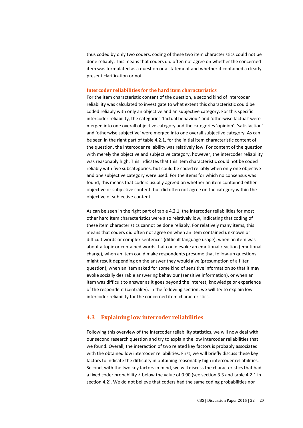thus coded by only two coders, coding of these two item characteristics could not be done reliably. This means that coders did often not agree on whether the concerned item was formulated as a question or a statement and whether it contained a clearly present clarification or not.

#### **Intercoder reliabilities for the hard item characteristics**

For the item characteristic content of the question, a second kind of intercoder reliability was calculated to investigate to what extent this characteristic could be coded reliably with only an objective and an subjective category. For this specific intercoder reliability, the categories 'factual behaviour' and 'otherwise factual' were merged into one overall objective category and the categories 'opinion', 'satisfaction' and 'otherwise subjective' were merged into one overall subjective category. As can be seen in the right part of table 4.2.1, for the initial item characteristic content of the question, the intercoder reliability was relatively low. For content of the question with merely the objective and subjective category, however, the intercoder reliability was reasonably high. This indicates that this item characteristic could not be coded reliably with five subcategories, but could be coded reliably when only one objective and one subjective category were used. For the items for which no consensus was found, this means that coders usually agreed on whether an item contained either objective or subjective content, but did often not agree on the category within the objective of subjective content.

As can be seen in the right part of table 4.2.1, the intercoder reliabilities for most other hard item characteristics were also relatively low, indicating that coding of these item characteristics cannot be done reliably. For relatively many items, this means that coders did often not agree on when an item contained unknown or difficult words or complex sentences (difficult language usage), when an item was about a topic or contained words that could evoke an emotional reaction (emotional charge), when an item could make respondents presume that follow-up questions might result depending on the answer they would give (presumption of a filter question), when an item asked for some kind of sensitive information so that it may evoke socially desirable answering behaviour (sensitive information), or when an item was difficult to answer as it goes beyond the interest, knowledge or experience of the respondent (centrality). In the following section, we will try to explain low intercoder reliability for the concerned item characteristics.

### **4.3 Explaining low intercoder reliabilities**

Following this overview of the intercoder reliability statistics, we will now deal with our second research question and try to explain the low intercoder reliabilities that we found. Overall, the interaction of two related key factors is probably associated with the obtained low intercoder reliabilities. First, we will briefly discuss these key factors to indicate the difficulty in obtaining reasonably high intercoder reliabilities. Second, with the two key factors in mind, we will discuss the characteristics that had a fixed coder probability  $\lambda$  below the value of 0.90 (see section 3.3 and table 4.2.1 in section 4.2). We do not believe that coders had the same coding probabilities nor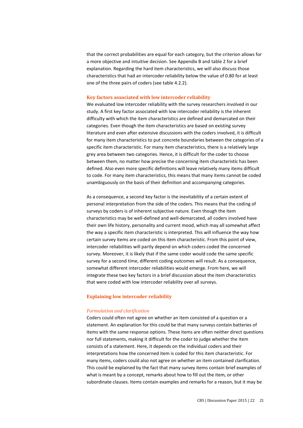that the correct probabilities are equal for each category, but the criterion allows for a more objective and intuitive decision. See Appendix B and table 2 for a brief explanation. Regarding the hard item characteristics, we will also discuss those characteristics that had an intercoder reliability below the value of 0.80 for at least one of the three pairs of coders (see table 4.2.2).

#### **Key factors associated with low intercoder reliability**

We evaluated low intercoder reliability with the survey researchers involved in our study. A first key factor associated with low intercoder reliability is the inherent difficulty with which the item characteristics are defined and demarcated on their categories. Even though the item characteristics are based on existing survey literature and even after extensive discussions with the coders involved, it is difficult for many item characteristics to put concrete boundaries between the categories of a specific item characteristic. For many item characteristics, there is a relatively large grey area between two categories. Hence, it is difficult for the coder to choose between them, no matter how precise the concerning item characteristic has been defined. Also even more specific definitions will leave relatively many items difficult to code. For many item characteristics, this means that many items cannot be coded unambiguously on the basis of their definition and accompanying categories.

As a consequence, a second key factor is the inevitability of a certain extent of personal interpretation from the side of the coders. This means that the coding of surveys by coders is of inherent subjective nature. Even though the item characteristics may be well-defined and well-demarcated, all coders involved have their own life history, personality and current mood, which may all somewhat affect the way a specific item characteristic is interpreted. This will influence the way how certain survey items are coded on this item characteristic. From this point of view, intercoder reliabilities will partly depend on which coders coded the concerned survey. Moreover, it is likely that if the same coder would code the same specific survey for a second time, different coding outcomes will result. As a consequence, somewhat different intercoder reliabilities would emerge. From here, we will integrate these two key factors in a brief discussion about the item characteristics that were coded with low intercoder reliability over all surveys.

#### **Explaining low intercoder reliability**

#### *Formulation and clarification*

Coders could often not agree on whether an item consisted of a question or a statement. An explanation for this could be that many surveys contain batteries of items with the same response options. These items are often neither direct questions nor full statements, making it difficult for the coder to judge whether the item consists of a statement. Here, it depends on the individual coders and their interpretations how the concerned item is coded for this item characteristic. For many items, coders could also not agree on whether an item contained clarification. This could be explained by the fact that many survey items contain brief examples of what is meant by a concept, remarks about how to fill out the item, or other subordinate clauses. Items contain examples and remarks for a reason, but it may be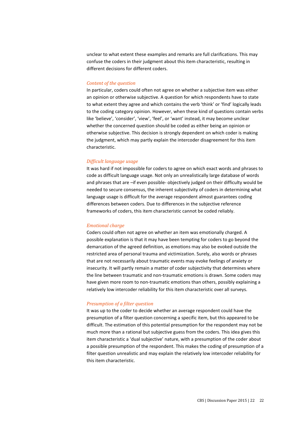unclear to what extent these examples and remarks are full clarifications. This may confuse the coders in their judgment about this item characteristic, resulting in different decisions for different coders.

#### *Content of the question*

In particular, coders could often not agree on whether a subjective item was either an opinion or otherwise subjective. A question for which respondents have to state to what extent they agree and which contains the verb 'think' or 'find' logically leads to the coding category opinion. However, when these kind of questions contain verbs like 'believe', 'consider', 'view', 'feel', or 'want' instead, it may become unclear whether the concerned question should be coded as either being an opinion or otherwise subjective. This decision is strongly dependent on which coder is making the judgment, which may partly explain the intercoder disagreement for this item characteristic.

#### *Difficult language usage*

It was hard if not impossible for coders to agree on which exact words and phrases to code as difficult language usage. Not only an unrealistically large database of words and phrases that are –if even possible- objectively judged on their difficulty would be needed to secure consensus, the inherent subjectivity of coders in determining what language usage is difficult for the average respondent almost guarantees coding differences between coders. Due to differences in the subjective reference frameworks of coders, this item characteristic cannot be coded reliably.

#### *Emotional charge*

Coders could often not agree on whether an item was emotionally charged. A possible explanation is that it may have been tempting for coders to go beyond the demarcation of the agreed definition, as emotions may also be evoked outside the restricted area of personal trauma and victimization. Surely, also words or phrases that are not necessarily about traumatic events may evoke feelings of anxiety or insecurity. It will partly remain a matter of coder subjectivity that determines where the line between traumatic and non-traumatic emotions is drawn. Some coders may have given more room to non-traumatic emotions than others, possibly explaining a relatively low intercoder reliability for this item characteristic over all surveys.

#### *Presumption of a filter question*

It was up to the coder to decide whether an average respondent could have the presumption of a filter question concerning a specific item, but this appeared to be difficult. The estimation of this potential presumption for the respondent may not be much more than a rational but subjective guess from the coders. This idea gives this item characteristic a 'dual subjective' nature, with a presumption of the coder about a possible presumption of the respondent. This makes the coding of presumption of a filter question unrealistic and may explain the relatively low intercoder reliability for this item characteristic.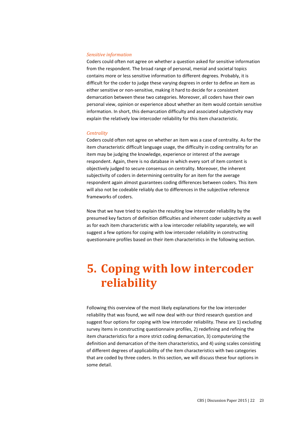#### *Sensitive information*

Coders could often not agree on whether a question asked for sensitive information from the respondent. The broad range of personal, menial and societal topics contains more or less sensitive information to different degrees. Probably, it is difficult for the coder to judge these varying degrees in order to define an item as either sensitive or non-sensitive, making it hard to decide for a consistent demarcation between these two categories. Moreover, all coders have their own personal view, opinion or experience about whether an item would contain sensitive information. In short, this demarcation difficulty and associated subjectivity may explain the relatively low intercoder reliability for this item characteristic.

#### *Centrality*

Coders could often not agree on whether an item was a case of centrality. As for the item characteristic difficult language usage, the difficulty in coding centrality for an item may be judging the knowledge, experience or interest of the average respondent. Again, there is no database in which every sort of item content is objectively judged to secure consensus on centrality. Moreover, the inherent subjectivity of coders in determining centrality for an item for the average respondent again almost guarantees coding differences between coders. This item will also not be codeable reliably due to differences in the subjective reference frameworks of coders.

Now that we have tried to explain the resulting low intercoder reliability by the presumed key factors of definition difficulties and inherent coder subjectivity as well as for each item characteristic with a low intercoder reliability separately, we will suggest a few options for coping with low intercoder reliability in constructing questionnaire profiles based on their item characteristics in the following section.

# **5. Coping with low intercoder reliability**

Following this overview of the most likely explanations for the low intercoder reliability that was found, we will now deal with our third research question and suggest four options for coping with low intercoder reliability. These are 1) excluding survey items in constructing questionnaire profiles, 2) redefining and refining the item characteristics for a more strict coding demarcation, 3) computerizing the definition and demarcation of the item characteristics, and 4) using scales consisting of different degrees of applicability of the item characteristics with two categories that are coded by three coders. In this section, we will discuss these four options in some detail.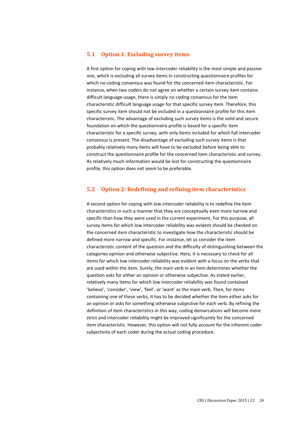### **5.1 Option 1: Excluding survey items**

A first option for coping with low intercoder reliability is the most simple and passive one, which is excluding all survey items in constructing questionnaire profiles for which no coding consensus was found for the concerned item characteristic. For instance, when two coders do not agree on whether a certain survey item contains difficult language usage, there is simply no coding consensus for the item characteristic difficult language usage for that specific survey item. Therefore, this specific survey item should not be included in a questionnaire profile for this item characteristic. The advantage of excluding such survey items is the solid and secure foundation on which the questionnaire profile is based for a specific item characteristic for a specific survey, with only items included for which full intercoder consensus is present. The disadvantage of excluding such survey items is that probably relatively many items will have to be excluded before being able to construct the questionnaire profile for the concerned item characteristic and survey. As relatively much information would be lost for constructing the questionnaire profile, this option does not seem to be preferable.

### **5.2 Option 2: Redefining and refining item characteristics**

A second option for coping with low intercoder reliability is to redefine the item characteristics in such a manner that they are conceptually even more narrow and specific than how they were used in the current experiment. For this purpose, all survey items for which low intercoder reliability was evident should be checked on the concerned item characteristic to investigate how the characteristic should be defined more narrow and specific. For instance, let us consider the item characteristic content of the question and the difficulty of distinguishing between the categories opinion and otherwise subjective. Here, it is necessary to check for all items for which low intercoder reliability was evident with a focus on the verbs that are used within the item. Surely, the main verb in an item determines whether the question asks for either an opinion or otherwise subjective. As stated earlier, relatively many items for which low intercoder reliability was found contained 'believe', 'consider', 'view', 'feel', or 'want' as the main verb. Then, for items containing one of these verbs, it has to be decided whether the item either asks for an opinion or asks for something otherwise subjective for each verb. By refining the definition of item characteristics in this way, coding demarcations will become more strict and intercoder reliability might be improved significantly for the concerned item characteristic. However, this option will not fully account for the inherent coder subjectivity of each coder during the actual coding procedure.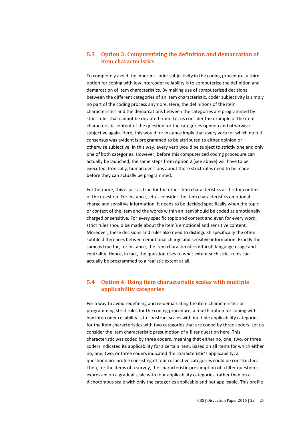# **5.3 Option 3: Computerizing the definition and demarcation of item characteristics**

To completely avoid the inherent coder subjectivity in the coding procedure, a third option for coping with low intercoder reliability is to computerize the definition and demarcation of item characteristics. By making use of computerized decisions between the different categories of an item characteristic, coder subjectivity is simply no part of the coding process anymore. Here, the definitions of the item characteristics and the demarcations between the categories are programmed by strict rules that cannot be deviated from. Let us consider the example of the item characteristic content of the question for the categories opinion and otherwise subjective again. Here, this would for instance imply that every verb for which no full consensus was evident is programmed to be attributed to either opinion or otherwise subjective. In this way, every verb would be subject to strictly one and only one of both categories. However, before this computerized coding procedure can actually be launched, the same steps from option 2 (see above) will have to be executed. Ironically, human decisions about those strict rules need to be made before they can actually be programmed.

Furthermore, this is just as true for the other item characteristics as it is for content of the question. For instance, let us consider the item characteristics emotional charge and sensitive information. It needs to be decided specifically when the topic or context of the item and the words within an item should be coded as emotionally charged or sensitive. For every specific topic and context and even for every word, strict rules should be made about the item's emotional and sensitive content. Moreover, these decisions and rules also need to distinguish specifically the often subtile differences between emotional charge and sensitive information. Exactly the same is true for, for instance, the item characteristics difficult language usage and centrality. Hence, in fact, the question rises to what extent such strict rules can actually be programmed to a realistic extent at all.

# **5.4 Option 4: Using item characteristic scales with multiple applicability categories**

For a way to avoid redefining and re-demarcating the item characteristics or programming strict rules for the coding procedure, a fourth option for coping with low intercoder reliability is to construct scales with multiple applicability categories for the item characteristics with two categories that are coded by three coders. Let us consider the item characteristic presumption of a filter question here. This characteristic was coded by three coders, meaning that either no, one, two, or three coders indicated its applicability for a certain item. Based on all items for which either no, one, two, or three coders indicated the characteristic's applicability, a questionnaire profile consisting of four respective categories could be constructed. Then, for the items of a survey, the characteristic presumption of a filter question is expressed on a gradual scale with four applicability categories, rather than on a dichotomous scale with only the categories applicable and not applicable. This profile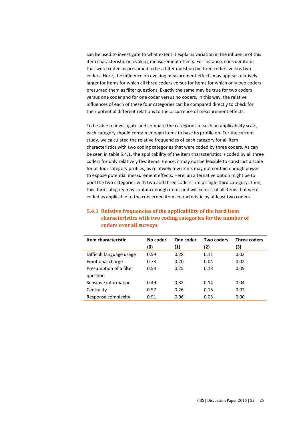can be used to investigate to what extent it explains variation in the influence of this item characteristic on evoking measurement effects. For instance, consider items that were coded as presumed to be a filter question by three coders versus two coders. Here, the influence on evoking measurement effects may appear relatively larger for items for which all three coders versus for items for which only two coders presumed them as filter questions. Exactly the same may be true for two coders versus one coder and for one coder versus no coders. In this way, the relative influences of each of these four categories can be compared directly to check for their potential different relations to the occurrence of measurement effects.

To be able to investigate and compare the categories of such an applicability scale, each category should contain enough items to base its profile on. For the current study, we calculated the relative frequencies of each category for all item characteristics with two coding categories that were coded by three coders. As can be seen in table 5.4.1, the applicability of the item characteristics is coded by all three coders for only relatively few items. Hence, it may not be feasible to construct a scale for all four category profiles, as relatively few items may not contain enough power to expose potential measurement effects. Here, an alternative option might be to pool the two categories with two and three coders into a single third category. Then, this third category may contain enough items and will consist of all items that were coded as applicable to the concerned item characteristic by at least two coders.

| Item characteristic      | No coder | One coder | Two coders | <b>Three coders</b> |
|--------------------------|----------|-----------|------------|---------------------|
|                          | (0)      | (1)       | (2)        | (3)                 |
| Difficult language usage | 0.59     | 0.28      | 0.11       | 0.02                |
| <b>Emotional charge</b>  | 0.73     | 0.20      | 0.04       | 0.02                |
| Presumption of a filter  | 0.53     | 0.25      | 0.13       | 0.09                |
| question                 |          |           |            |                     |
| Sensitive information    | 0.49     | 0.32      | 0.14       | 0.04                |
| Centrality               | 0.57     | 0.26      | 0.15       | 0.02                |
| Response complexity      | 0.91     | 0.06      | 0.03       | 0.00                |

# **5.4.1 Relative frequencies of the applicability of the hard item characteristics with two coding categories for the number of coders over all surveys**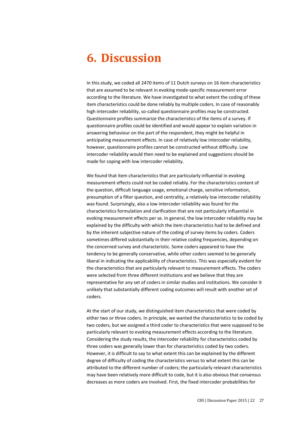# **6. Discussion**

In this study, we coded all 2470 items of 11 Dutch surveys on 16 item characteristics that are assumed to be relevant in evoking mode-specific measurement error according to the literature. We have investigated to what extent the coding of these item characteristics could be done reliably by multiple coders. In case of reasonably high intercoder reliability, so-called questionnaire profiles may be constructed. Questionnaire profiles summarize the characteristics of the items of a survey. If questionnaire profiles could be identified and would appear to explain variation in answering behaviour on the part of the respondent, they might be helpful in anticipating measurement effects. In case of relatively low intercoder reliability, however, questionnaire profiles cannot be constructed without difficulty. Low intercoder reliability would then need to be explained and suggestions should be made for coping with low intercoder reliability.

We found that item characteristics that are particularly influential in evoking measurement effects could not be coded reliably. For the characteristics content of the question, difficult language usage, emotional charge, sensitive information, presumption of a filter question, and centrality, a relatively low intercoder reliability was found. Surprisingly, also a low intercoder reliability was found for the characteristics formulation and clarification that are not particularly influential in evoking measurement effects per se. In general, the low intercoder reliability may be explained by the difficulty with which the item characteristics had to be defined and by the inherent subjective nature of the coding of survey items by coders. Coders sometimes differed substantially in their relative coding frequencies, depending on the concerned survey and characteristic. Some coders appeared to have the tendency to be generally conservative, while other coders seemed to be generally liberal in indicating the applicability of characteristics. This was especially evident for the characteristics that are particularly relevant to measurement effects. The coders were selected from three different institutions and we believe that they are representative for any set of coders in similar studies and institutions. We consider it unlikely that substantially different coding outcomes will result with another set of coders.

At the start of our study, we distinguished item characteristics that were coded by either two or three coders. In principle, we wanted the characteristics to be coded by two coders, but we assigned a third coder to characteristics that were supposed to be particularly relevant to evoking measurement effects according to the literature. Considering the study results, the intercoder reliability for characteristics coded by three coders was generally lower than for characteristics coded by two coders. However, it is difficult to say to what extent this can be explained by the different degree of difficulty of coding the characteristics versus to what extent this can be attributed to the different number of coders; the particularly relevant characteristics may have been relatively more difficult to code, but it is also obvious that consensus decreases as more coders are involved. First, the fixed intercoder probabilities for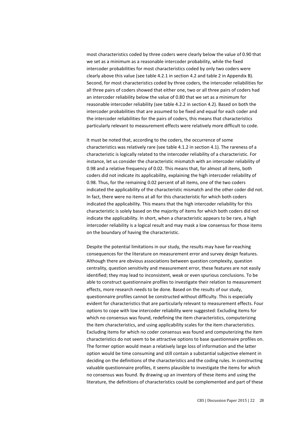most characteristics coded by three coders were clearly below the value of 0.90 that we set as a minimum as a reasonable intercoder probability, while the fixed intercoder probabilities for most characteristics coded by only two coders were clearly above this value (see table 4.2.1 in section 4.2 and table 2 in Appendix B). Second, for most characteristics coded by three coders, the intercoder reliabilities for all three pairs of coders showed that either one, two or all three pairs of coders had an intercoder reliability below the value of 0.80 that we set as a minimum for reasonable intercoder reliability (see table 4.2.2 in section 4.2). Based on both the intercoder probabilities that are assumed to be fixed and equal for each coder and the intercoder reliabilities for the pairs of coders, this means that characteristics particularly relevant to measurement effects were relatively more difficult to code.

It must be noted that, according to the coders, the occurrence of some characteristics was relatively rare (see table 4.1.2 in section 4.1). The rareness of a characteristic is logically related to the intercoder reliability of a characteristic. For instance, let us consider the characteristic mismatch with an intercoder reliability of 0.98 and a relative frequency of 0.02. This means that, for almost all items, both coders did not indicate its applicability, explaining the high intercoder reliability of 0.98. Thus, for the remaining 0.02 percent of all items, one of the two coders indicated the applicability of the characteristic mismatch and the other coder did not. In fact, there were no items at all for this characteristic for which both coders indicated the applicability. This means that the high intercoder reliability for this characteristic is solely based on the majority of items for which both coders did not indicate the applicability. In short, when a characteristic appears to be rare, a high intercoder reliability is a logical result and may mask a low consensus for those items on the boundary of having the characteristic.

Despite the potential limitations in our study, the results may have far-reaching consequences for the literature on measurement error and survey design features. Although there are obvious associations between question complexity, question centrality, question sensitivity and measurement error, these features are not easily identified; they may lead to inconsistent, weak or even spurious conclusions. To be able to construct questionnaire profiles to investigate their relation to measurement effects, more research needs to be done. Based on the results of our study, questionnaire profiles cannot be constructed without difficulty. This is especially evident for characteristics that are particularly relevant to measurement effects. Four options to cope with low intercoder reliability were suggested: Excluding items for which no consensus was found, redefining the item characteristics, computerizing the item characteristics, and using applicability scales for the item characteristics. Excluding items for which no coder consensus was found and computerizing the item characteristics do not seem to be attractive options to base questionnaire profiles on. The former option would mean a relatively large loss of information and the latter option would be time consuming and still contain a substantial subjective element in deciding on the definitions of the characteristics and the coding rules. In constructing valuable questionnaire profiles, it seems plausible to investigate the items for which no consensus was found. By drawing up an inventory of these items and using the literature, the definitions of characteristics could be complemented and part of these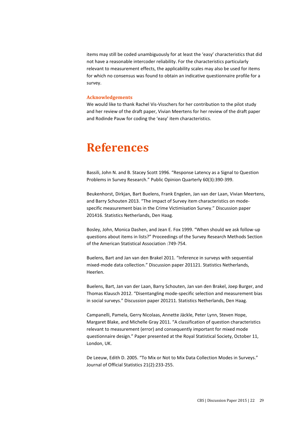items may still be coded unambiguously for at least the 'easy' characteristics that did not have a reasonable intercoder reliability. For the characteristics particularly relevant to measurement effects, the applicability scales may also be used for items for which no consensus was found to obtain an indicative questionnaire profile for a survey.

#### **Acknowledgements**

We would like to thank Rachel Vis-Visschers for her contribution to the pilot study and her review of the draft paper, Vivian Meertens for her review of the draft paper and Rodinde Pauw for coding the 'easy' item characteristics.

# **References**

Bassili, John N. and B. Stacey Scott 1996. "Response Latency as a Signal to Question Problems in Survey Research." Public Opinion Quarterly 60(3):390-399.

Beukenhorst, Dirkjan, Bart Buelens, Frank Engelen, Jan van der Laan, Vivian Meertens, and Barry Schouten 2013. "The impact of Survey item characteristics on modespecific measurement bias in the Crime Victimisation Survey." Discussion paper 201416. Statistics Netherlands, Den Haag.

Bosley, John, Monica Dashen, and Jean E. Fox 1999. "When should we ask follow-up questions about items in lists?" Proceedings of the Survey Research Methods Section of the American Statistical Association :749-754.

Buelens, Bart and Jan van den Brakel 2011. "Inference in surveys with sequential mixed-mode data collection." Discussion paper 201121. Statistics Netherlands, Heerlen.

Buelens, Bart, Jan van der Laan, Barry Schouten, Jan van den Brakel, Joep Burger, and Thomas Klausch 2012. "Disentangling mode-specific selection and measurement bias in social surveys." Discussion paper 201211. Statistics Netherlands, Den Haag.

Campanelli, Pamela, Gerry Nicolaas, Annette Jäckle, Peter Lynn, Steven Hope, Margaret Blake, and Michelle Gray 2011. "A classification of question characteristics relevant to measurement (error) and consequently important for mixed mode questionnaire design." Paper presented at the Royal Statistical Society, October 11, London, UK.

De Leeuw, Edith D. 2005. "To Mix or Not to Mix Data Collection Modes in Surveys." Journal of Official Statistics 21(2):233-255.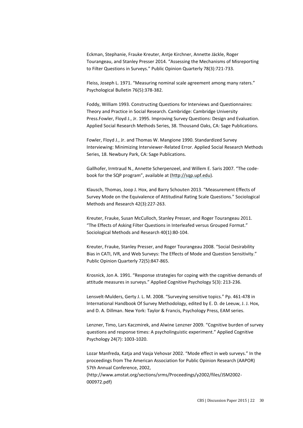Eckman, Stephanie, Frauke Kreuter, Antje Kirchner, Annette Jäckle, Roger Tourangeau, and Stanley Presser 2014. "Assessing the Mechanisms of Misreporting to Filter Questions in Surveys." Public Opinion Quarterly 78(3):721-733.

Fleiss, Joseph L. 1971. "Measuring nominal scale agreement among many raters." Psychological Bulletin 76(5):378-382.

Foddy, William 1993. Constructing Questions for Interviews and Questionnaires: Theory and Practice in Social Research. Cambridge: Cambridge University Press.Fowler, Floyd J., Jr. 1995. Improving Survey Questions: Design and Evaluation. Applied Social Research Methods Series, 38. Thousand Oaks, CA: Sage Publications.

Fowler, Floyd J., Jr. and Thomas W. Mangione 1990. Standardized Survey Interviewing: Minimizing Interviewer-Related Error. Applied Social Research Methods Series, 18. Newbury Park, CA: Sage Publications.

Gallhofer, Irmtraud N., Annette Scherpenzeel, and Willem E. Saris 2007. "The codebook for the SQP program", available at ([http://sqp.upf.edu\)](http://sqp.upf.edu/).

Klausch, Thomas, Joop J. Hox, and Barry Schouten 2013. "Measurement Effects of Survey Mode on the Equivalence of Attitudinal Rating Scale Questions." Sociological Methods and Research 42(3):227-263.

Kreuter, Frauke, Susan McCulloch, Stanley Presser, and Roger Tourangeau 2011. "The Effects of Asking Filter Questions in Interleafed versus Grouped Format." Sociological Methods and Research 40(1):80-104.

Kreuter, Frauke, Stanley Presser, and Roger Tourangeau 2008. "Social Desirability Bias in CATI, IVR, and Web Surveys: The Effects of Mode and Question Sensitivity." Public Opinion Quarterly 72(5):847-865.

Krosnick, Jon A. 1991. "Response strategies for coping with the cognitive demands of attitude measures in surveys." Applied Cognitive Psychology 5(3): 213-236.

Lensvelt-Mulders, Gerty J. L. M. 2008. "Surveying sensitive topics." Pp. 461-478 in International Handbook Of Survey Methodology, edited by E. D. de Leeuw, J. J. Hox, and D. A. Dillman. New York: Taylor & Francis, Psychology Press, EAM series.

Lenzner, Timo, Lars Kaczmirek, and Alwine Lenzner 2009. "Cognitive burden of survey questions and response times: A psycholinguistic experiment." Applied Cognitive Psychology 24(7): 1003-1020.

Lozar Manfreda, Katja and Vasja Vehovar 2002. "Mode effect in web surveys." In the proceedings from The American Association for Public Opinion Research (AAPOR) 57th Annual Conference, 2002,

(http://www.amstat.org/sections/srms/Proceedings/y2002/files/JSM2002- 000972.pdf)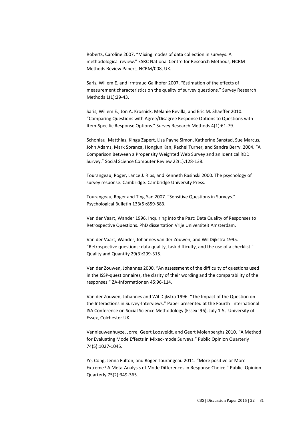Roberts, Caroline 2007. "Mixing modes of data collection in surveys: A methodological review." ESRC National Centre for Research Methods, NCRM Methods Review Papers, NCRM/008, UK.

Saris, Willem E. and Irmtraud Gallhofer 2007. "Estimation of the effects of measurement characteristics on the quality of survey questions." Survey Research Methods 1(1):29-43.

Saris, Willem E., Jon A. Krosnick, Melanie Revilla, and Eric M. Shaeffer 2010. "Comparing Questions with Agree/Disagree Response Options to Questions with Item-Specific Response Options." Survey Research Methods 4(1):61-79.

Schonlau, Matthias, Kinga Zapert, Lisa Payne Simon, Katherine Sanstad, Sue Marcus, John Adams, Mark Spranca, Hongjun Kan, Rachel Turner, and Sandra Berry. 2004. "A Comparison Between a Propensity Weighted Web Survey and an Identical RDD Survey." Social Science Computer Review 22(1):128-138.

Tourangeau, Roger, Lance J. Rips, and Kenneth Rasinski 2000. The psychology of survey response. Cambridge: Cambridge University Press.

Tourangeau, Roger and Ting Yan 2007. "Sensitive Questions in Surveys." Psychological Bulletin 133(5):859-883.

Van der Vaart, Wander 1996. Inquiring into the Past: Data Quality of Responses to Retrospective Questions. PhD dissertation Vrije Universiteit Amsterdam.

Van der Vaart, Wander, Johannes van der Zouwen, and Wil Dijkstra 1995. "Retrospective questions: data quality, task difficulty, and the use of a checklist." Quality and Quantity 29(3):299-315.

Van der Zouwen, Johannes 2000. "An assessment of the difficulty of questions used in the ISSP-questionnaires, the clarity of their wording and the comparability of the responses." ZA-Informationen 45:96-114.

Van der Zouwen, Johannes and Wil Dijkstra 1996. "The Impact of the Question on the Interactions in Survey-Interviews." Paper presented at the Fourth International ISA Conference on Social Science Methodology (Essex '96), July 1-5, University of Essex, Colchester UK.

Vannieuwenhuyze, Jorre, Geert Loosveldt, and Geert Molenberghs 2010. "A Method for Evaluating Mode Effects in Mixed-mode Surveys." Public Opinion Quarterly 74(5):1027-1045.

Ye, Cong, Jenna Fulton, and Roger Tourangeau 2011. "More positive or More Extreme? A Meta-Analysis of Mode Differences in Response Choice." Public Opinion Quarterly 75(2):349-365.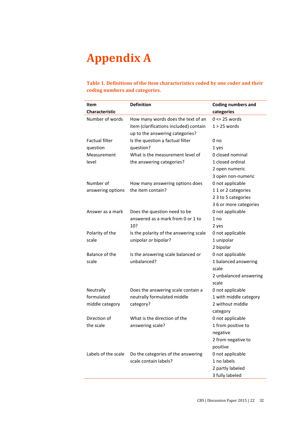# **Appendix A**

# **Table 1. Definitions of the item characteristics coded by one coder and their coding numbers and categories.**

| Item                  | <b>Definition</b>                      | <b>Coding numbers and</b> |
|-----------------------|----------------------------------------|---------------------------|
| <b>Characteristic</b> |                                        | categories                |
| Number of words       | How many words does the text of an     | $0 \le 25$ words          |
|                       | item (clarifications included) contain | $1 > 25$ words            |
|                       | up to the answering categories?        |                           |
| <b>Factual filter</b> | Is the question a factual filter       | 0 no                      |
| question              | question?                              | 1 yes                     |
| Measurement           | What is the measurement level of       | 0 closed nominal          |
| level                 | the answering categories?              | 1 closed ordinal          |
|                       |                                        | 2 open numeric            |
|                       |                                        | 3 open non-numeric        |
| Number of             | How many answering options does        | 0 not applicable          |
| answering options     | the item contain?                      | 11 or 2 categories        |
|                       |                                        | 2 3 to 5 categories       |
|                       |                                        | 3 6 or more categories    |
| Answer as a mark      | Does the question need to be           | 0 not applicable          |
|                       | answered as a mark from 0 or 1 to      | 1 no                      |
|                       | 10?                                    | 2 yes                     |
| Polarity of the       | Is the polarity of the answering scale | 0 not applicable          |
| scale                 | unipolar or bipolar?                   | 1 unipolar                |
|                       |                                        | 2 bipolar                 |
| Balance of the        | Is the answering scale balanced or     | 0 not applicable          |
| scale                 | unbalanced?                            | 1 balanced answering      |
|                       |                                        | scale                     |
|                       |                                        | 2 unbalanced answering    |
|                       |                                        | scale                     |
| Neutrally             | Does the answering scale contain a     | 0 not applicable          |
| formulated            | neutrally formulated middle            | 1 with middle category    |
| middle category       | category?                              | 2 without middle          |
|                       |                                        | category                  |
| Direction of          | What is the direction of the           | 0 not applicable          |
| the scale             | answering scale?                       | 1 from positive to        |
|                       |                                        | negative                  |
|                       |                                        | 2 from negative to        |
|                       |                                        | positive                  |
| Labels of the scale   | Do the categories of the answering     | 0 not applicable          |
|                       | scale contain labels?                  | 1 no labels               |
|                       |                                        | 2 partly labeled          |
|                       |                                        | 3 fully labeled           |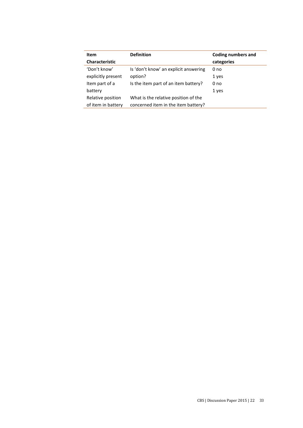| Item                  | <b>Definition</b>                     | <b>Coding numbers and</b> |
|-----------------------|---------------------------------------|---------------------------|
| <b>Characteristic</b> |                                       | categories                |
| 'Don't know'          | Is 'don't know' an explicit answering | 0 no                      |
| explicitly present    | option?                               | 1 yes                     |
| Item part of a        | Is the item part of an item battery?  | 0 <sub>no</sub>           |
| battery               |                                       | 1 yes                     |
| Relative position     | What is the relative position of the  |                           |
| of item in battery    | concerned item in the item battery?   |                           |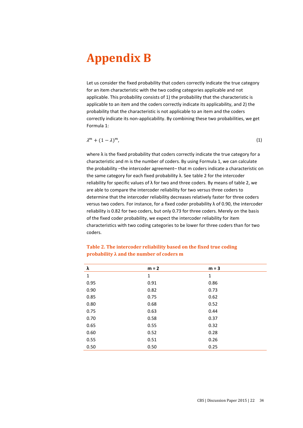# **Appendix B**

Let us consider the fixed probability that coders correctly indicate the true category for an item characteristic with the two coding categories applicable and not applicable. This probability consists of 1) the probability that the characteristic is applicable to an item and the coders correctly indicate its applicability, and 2) the probability that the characteristic is not applicable to an item and the coders correctly indicate its non-applicability. By combining these two probabilities, we get Formula 1:

$$
\lambda^m + (1 - \lambda)^m, \tag{1}
$$

where  $\lambda$  is the fixed probability that coders correctly indicate the true category for a characteristic and m is the number of coders. By using Formula 1, we can calculate the probability –the intercoder agreement– that m coders indicate a characteristic on the same category for each fixed probability λ. See table 2 for the intercoder reliability for specific values of  $\lambda$  for two and three coders. By means of table 2, we are able to compare the intercoder reliability for two versus three coders to determine that the intercoder reliability decreases relatively faster for three coders versus two coders. For instance, for a fixed coder probability λ of 0.90, the intercoder reliability is 0.82 for two coders, but only 0.73 for three coders. Merely on the basis of the fixed coder probability, we expect the intercoder reliability for item characteristics with two coding categories to be lower for three coders than for two coders.

| λ    | $m = 2$      | $m = 3$ |
|------|--------------|---------|
| 1    | $\mathbf{1}$ | 1       |
| 0.95 | 0.91         | 0.86    |
| 0.90 | 0.82         | 0.73    |
| 0.85 | 0.75         | 0.62    |
| 0.80 | 0.68         | 0.52    |
| 0.75 | 0.63         | 0.44    |
| 0.70 | 0.58         | 0.37    |
| 0.65 | 0.55         | 0.32    |
| 0.60 | 0.52         | 0.28    |
| 0.55 | 0.51         | 0.26    |
| 0.50 | 0.50         | 0.25    |

### **Table 2. The intercoder reliability based on the fixed true coding probability λ and the number of coders m**